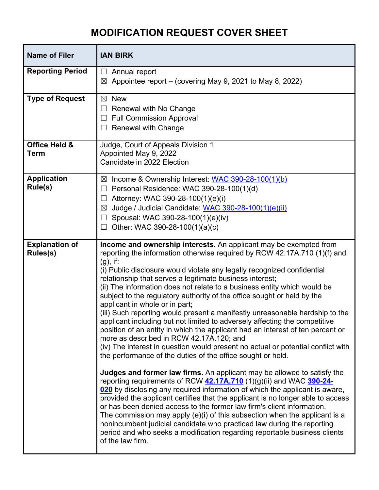## **MODIFICATION REQUEST COVER SHEET**

| <b>Name of Filer</b>              | <b>IAN BIRK</b>                                                                                                                                                                                                                                                                                                                                                                                                                                                                                                                                                                                                                                                                                                                                                                                                                                                                                                                                                                                                                                                                                                                                                                                                                                                                                                                                                                                                                                                                                                                                                                                     |
|-----------------------------------|-----------------------------------------------------------------------------------------------------------------------------------------------------------------------------------------------------------------------------------------------------------------------------------------------------------------------------------------------------------------------------------------------------------------------------------------------------------------------------------------------------------------------------------------------------------------------------------------------------------------------------------------------------------------------------------------------------------------------------------------------------------------------------------------------------------------------------------------------------------------------------------------------------------------------------------------------------------------------------------------------------------------------------------------------------------------------------------------------------------------------------------------------------------------------------------------------------------------------------------------------------------------------------------------------------------------------------------------------------------------------------------------------------------------------------------------------------------------------------------------------------------------------------------------------------------------------------------------------------|
| <b>Reporting Period</b>           | Annual report<br>$\perp$<br>Appointee report – (covering May 9, 2021 to May 8, 2022)<br>$\boxtimes$                                                                                                                                                                                                                                                                                                                                                                                                                                                                                                                                                                                                                                                                                                                                                                                                                                                                                                                                                                                                                                                                                                                                                                                                                                                                                                                                                                                                                                                                                                 |
| <b>Type of Request</b>            | <b>New</b><br>$\boxtimes$<br>Renewal with No Change<br><b>Full Commission Approval</b><br><b>Renewal with Change</b><br>⊔                                                                                                                                                                                                                                                                                                                                                                                                                                                                                                                                                                                                                                                                                                                                                                                                                                                                                                                                                                                                                                                                                                                                                                                                                                                                                                                                                                                                                                                                           |
| Office Held &<br><b>Term</b>      | Judge, Court of Appeals Division 1<br>Appointed May 9, 2022<br>Candidate in 2022 Election                                                                                                                                                                                                                                                                                                                                                                                                                                                                                                                                                                                                                                                                                                                                                                                                                                                                                                                                                                                                                                                                                                                                                                                                                                                                                                                                                                                                                                                                                                           |
| <b>Application</b><br>Rule(s)     | Income & Ownership Interest: WAC 390-28-100(1)(b)<br>$\boxtimes$<br>Personal Residence: WAC 390-28-100(1)(d)<br>Attorney: WAC 390-28-100(1)(e)(i)<br>Judge / Judicial Candidate: WAC 390-28-100(1)(e)(ii)<br>$\boxtimes$<br>Spousal: WAC 390-28-100(1)(e)(iv)<br>Other: WAC 390-28-100(1)(a)(c)                                                                                                                                                                                                                                                                                                                                                                                                                                                                                                                                                                                                                                                                                                                                                                                                                                                                                                                                                                                                                                                                                                                                                                                                                                                                                                     |
| <b>Explanation of</b><br>Rules(s) | Income and ownership interests. An applicant may be exempted from<br>reporting the information otherwise required by RCW 42.17A.710 (1)(f) and<br>$(g)$ , if:<br>(i) Public disclosure would violate any legally recognized confidential<br>relationship that serves a legitimate business interest;<br>(ii) The information does not relate to a business entity which would be<br>subject to the regulatory authority of the office sought or held by the<br>applicant in whole or in part;<br>(iii) Such reporting would present a manifestly unreasonable hardship to the<br>applicant including but not limited to adversely affecting the competitive<br>position of an entity in which the applicant had an interest of ten percent or<br>more as described in RCW 42.17A.120; and<br>(iv) The interest in question would present no actual or potential conflict with<br>the performance of the duties of the office sought or held.<br>Judges and former law firms. An applicant may be allowed to satisfy the<br>reporting requirements of RCW 42.17A.710 (1)(g)(ii) and WAC 390-24-<br>020 by disclosing any required information of which the applicant is aware,<br>provided the applicant certifies that the applicant is no longer able to access<br>or has been denied access to the former law firm's client information.<br>The commission may apply (e)(i) of this subsection when the applicant is a<br>nonincumbent judicial candidate who practiced law during the reporting<br>period and who seeks a modification regarding reportable business clients<br>of the law firm. |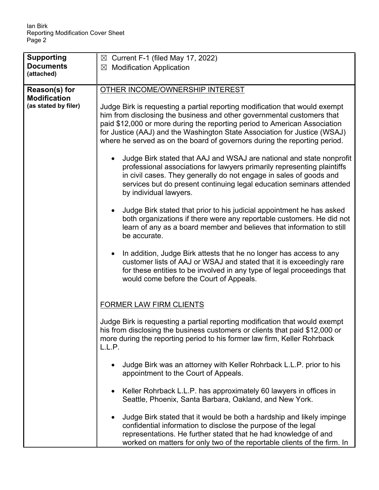| <b>Supporting</b>                                            | $\boxtimes$ Current F-1 (filed May 17, 2022)                                                                                                                                                                                                                                                                                                                                                                                                                                                            |
|--------------------------------------------------------------|---------------------------------------------------------------------------------------------------------------------------------------------------------------------------------------------------------------------------------------------------------------------------------------------------------------------------------------------------------------------------------------------------------------------------------------------------------------------------------------------------------|
| <b>Documents</b>                                             | $\boxtimes$ Modification Application                                                                                                                                                                                                                                                                                                                                                                                                                                                                    |
| (attached)                                                   |                                                                                                                                                                                                                                                                                                                                                                                                                                                                                                         |
| Reason(s) for<br><b>Modification</b><br>(as stated by filer) | OTHER INCOME/OWNERSHIP INTEREST<br>Judge Birk is requesting a partial reporting modification that would exempt<br>him from disclosing the business and other governmental customers that<br>paid \$12,000 or more during the reporting period to American Association<br>for Justice (AAJ) and the Washington State Association for Justice (WSAJ)<br>where he served as on the board of governors during the reporting period.<br>Judge Birk stated that AAJ and WSAJ are national and state nonprofit |
|                                                              | professional associations for lawyers primarily representing plaintiffs<br>in civil cases. They generally do not engage in sales of goods and<br>services but do present continuing legal education seminars attended<br>by individual lawyers.                                                                                                                                                                                                                                                         |
|                                                              | Judge Birk stated that prior to his judicial appointment he has asked<br>$\bullet$<br>both organizations if there were any reportable customers. He did not<br>learn of any as a board member and believes that information to still<br>be accurate.                                                                                                                                                                                                                                                    |
|                                                              | In addition, Judge Birk attests that he no longer has access to any<br>customer lists of AAJ or WSAJ and stated that it is exceedingly rare<br>for these entities to be involved in any type of legal proceedings that<br>would come before the Court of Appeals.                                                                                                                                                                                                                                       |
|                                                              | <b>FORMER LAW FIRM CLIENTS</b>                                                                                                                                                                                                                                                                                                                                                                                                                                                                          |
|                                                              | Judge Birk is requesting a partial reporting modification that would exempt<br>his from disclosing the business customers or clients that paid \$12,000 or<br>more during the reporting period to his former law firm, Keller Rohrback<br>L.L.P.                                                                                                                                                                                                                                                        |
|                                                              | Judge Birk was an attorney with Keller Rohrback L.L.P. prior to his<br>appointment to the Court of Appeals.                                                                                                                                                                                                                                                                                                                                                                                             |
|                                                              | Keller Rohrback L.L.P. has approximately 60 lawyers in offices in<br>Seattle, Phoenix, Santa Barbara, Oakland, and New York.                                                                                                                                                                                                                                                                                                                                                                            |
|                                                              | Judge Birk stated that it would be both a hardship and likely impinge<br>confidential information to disclose the purpose of the legal<br>representations. He further stated that he had knowledge of and<br>worked on matters for only two of the reportable clients of the firm. In                                                                                                                                                                                                                   |